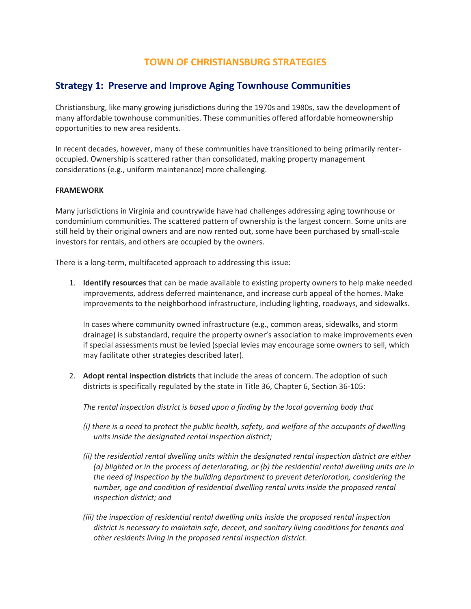# **TOWN OF CHRISTIANSBURG STRATEGIES**

## **Strategy 1: Preserve and Improve Aging Townhouse Communities**

Christiansburg, like many growing jurisdictions during the 1970s and 1980s, saw the development of many affordable townhouse communities. These communities offered affordable homeownership opportunities to new area residents.

In recent decades, however, many of these communities have transitioned to being primarily renteroccupied. Ownership is scattered rather than consolidated, making property management considerations (e.g., uniform maintenance) more challenging.

#### **FRAMEWORK**

Many jurisdictions in Virginia and countrywide have had challenges addressing aging townhouse or condominium communities. The scattered pattern of ownership is the largest concern. Some units are still held by their original owners and are now rented out, some have been purchased by small-scale investors for rentals, and others are occupied by the owners.

There is a long-term, multifaceted approach to addressing this issue:

1. **Identify resources** that can be made available to existing property owners to help make needed improvements, address deferred maintenance, and increase curb appeal of the homes. Make improvements to the neighborhood infrastructure, including lighting, roadways, and sidewalks.

In cases where community owned infrastructure (e.g., common areas, sidewalks, and storm drainage) is substandard, require the property owner's association to make improvements even if special assessments must be levied (special levies may encourage some owners to sell, which may facilitate other strategies described later).

2. **Adopt rental inspection districts** that include the areas of concern. The adoption of such districts is specifically regulated by the state in Title 36, Chapter 6, Section 36-105:

*The rental inspection district is based upon a finding by the local governing body that*

- *(i) there is a need to protect the public health, safety, and welfare of the occupants of dwelling units inside the designated rental inspection district;*
- *(ii) the residential rental dwelling units within the designated rental inspection district are either (a) blighted or in the process of deteriorating, or (b) the residential rental dwelling units are in the need of inspection by the building department to prevent deterioration, considering the number, age and condition of residential dwelling rental units inside the proposed rental inspection district; and*
- *(iii) the inspection of residential rental dwelling units inside the proposed rental inspection district is necessary to maintain safe, decent, and sanitary living conditions for tenants and other residents living in the proposed rental inspection district.*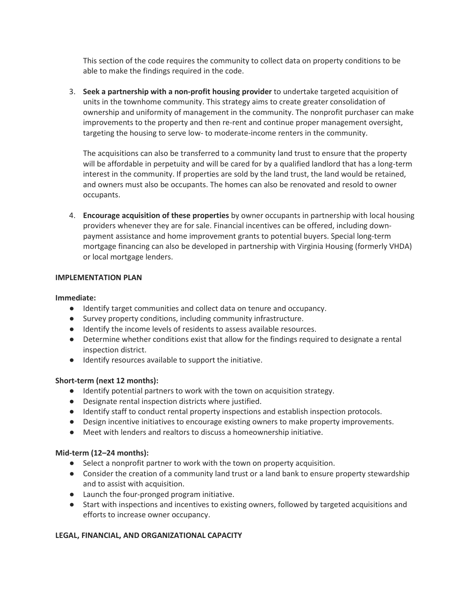This section of the code requires the community to collect data on property conditions to be able to make the findings required in the code.

3. **Seek a partnership with a non-profit housing provider** to undertake targeted acquisition of units in the townhome community. This strategy aims to create greater consolidation of ownership and uniformity of management in the community. The nonprofit purchaser can make improvements to the property and then re-rent and continue proper management oversight, targeting the housing to serve low- to moderate-income renters in the community.

The acquisitions can also be transferred to a community land trust to ensure that the property will be affordable in perpetuity and will be cared for by a qualified landlord that has a long-term interest in the community. If properties are sold by the land trust, the land would be retained, and owners must also be occupants. The homes can also be renovated and resold to owner occupants.

4. **Encourage acquisition of these properties** by owner occupants in partnership with local housing providers whenever they are for sale. Financial incentives can be offered, including downpayment assistance and home improvement grants to potential buyers. Special long-term mortgage financing can also be developed in partnership with Virginia Housing (formerly VHDA) or local mortgage lenders.

#### **IMPLEMENTATION PLAN**

#### **Immediate:**

- Identify target communities and collect data on tenure and occupancy.
- Survey property conditions, including community infrastructure.
- Identify the income levels of residents to assess available resources.
- Determine whether conditions exist that allow for the findings required to designate a rental inspection district.
- Identify resources available to support the initiative.

### **Short-term (next 12 months):**

- Identify potential partners to work with the town on acquisition strategy.
- Designate rental inspection districts where justified.
- Identify staff to conduct rental property inspections and establish inspection protocols.
- Design incentive initiatives to encourage existing owners to make property improvements.
- Meet with lenders and realtors to discuss a homeownership initiative.

### **Mid-term (12–24 months):**

- Select a nonprofit partner to work with the town on property acquisition.
- Consider the creation of a community land trust or a land bank to ensure property stewardship and to assist with acquisition.
- Launch the four-pronged program initiative.
- Start with inspections and incentives to existing owners, followed by targeted acquisitions and efforts to increase owner occupancy.

### **LEGAL, FINANCIAL, AND ORGANIZATIONAL CAPACITY**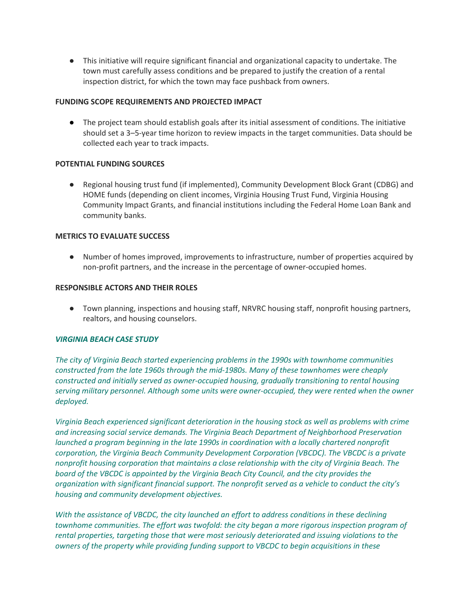● This initiative will require significant financial and organizational capacity to undertake. The town must carefully assess conditions and be prepared to justify the creation of a rental inspection district, for which the town may face pushback from owners.

### **FUNDING SCOPE REQUIREMENTS AND PROJECTED IMPACT**

● The project team should establish goals after its initial assessment of conditions. The initiative should set a 3–5-year time horizon to review impacts in the target communities. Data should be collected each year to track impacts.

## **POTENTIAL FUNDING SOURCES**

● Regional housing trust fund (if implemented), Community Development Block Grant (CDBG) and HOME funds (depending on client incomes, Virginia Housing Trust Fund, Virginia Housing Community Impact Grants, and financial institutions including the Federal Home Loan Bank and community banks.

## **METRICS TO EVALUATE SUCCESS**

● Number of homes improved, improvements to infrastructure, number of properties acquired by non-profit partners, and the increase in the percentage of owner-occupied homes.

## **RESPONSIBLE ACTORS AND THEIR ROLES**

● Town planning, inspections and housing staff, NRVRC housing staff, nonprofit housing partners, realtors, and housing counselors.

### *VIRGINIA BEACH CASE STUDY*

*The city of Virginia Beach started experiencing problems in the 1990s with townhome communities constructed from the late 1960s through the mid-1980s. Many of these townhomes were cheaply constructed and initially served as owner-occupied housing, gradually transitioning to rental housing serving military personnel. Although some units were owner-occupied, they were rented when the owner deployed.*

*Virginia Beach experienced significant deterioration in the housing stock as well as problems with crime and increasing social service demands. The Virginia Beach Department of Neighborhood Preservation launched a program beginning in the late 1990s in coordination with a locally chartered nonprofit corporation, the Virginia Beach Community Development Corporation (VBCDC). The VBCDC is a private nonprofit housing corporation that maintains a close relationship with the city of Virginia Beach. The board of the VBCDC is appointed by the Virginia Beach City Council, and the city provides the organization with significant financial support. The nonprofit served as a vehicle to conduct the city's housing and community development objectives.*

*With the assistance of VBCDC, the city launched an effort to address conditions in these declining townhome communities. The effort was twofold: the city began a more rigorous inspection program of rental properties, targeting those that were most seriously deteriorated and issuing violations to the owners of the property while providing funding support to VBCDC to begin acquisitions in these*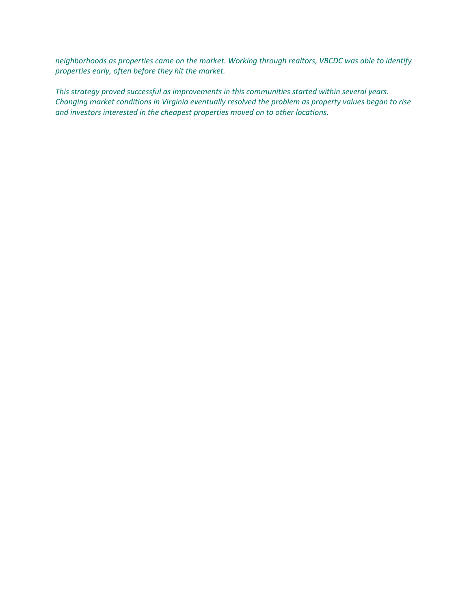*neighborhoods as properties came on the market. Working through realtors, VBCDC was able to identify properties early, often before they hit the market.*

*This strategy proved successful as improvements in this communities started within several years. Changing market conditions in Virginia eventually resolved the problem as property values began to rise and investors interested in the cheapest properties moved on to other locations.*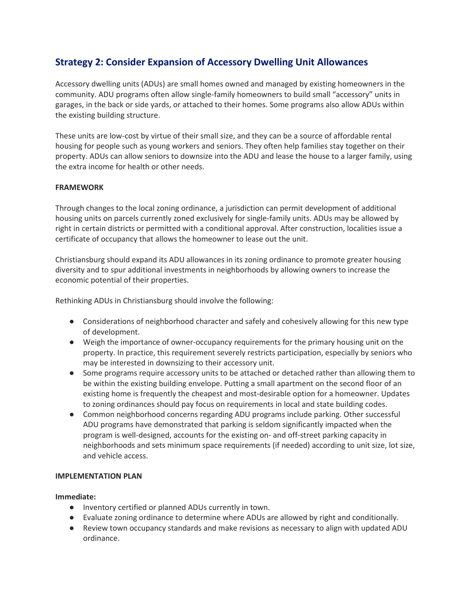# **Strategy 2: Consider Expansion of Accessory Dwelling Unit Allowances**

Accessory dwelling units (ADUs) are small homes owned and managed by existing homeowners in the community. ADU programs often allow single-family homeowners to build small "accessory" units in garages, in the back or side yards, or attached to their homes. Some programs also allow ADUs within the existing building structure.

These units are low-cost by virtue of their small size, and they can be a source of affordable rental housing for people such as young workers and seniors. They often help families stay together on their property. ADUs can allow seniors to downsize into the ADU and lease the house to a larger family, using the extra income for health or other needs.

## **FRAMEWORK**

Through changes to the local zoning ordinance, a jurisdiction can permit development of additional housing units on parcels currently zoned exclusively for single-family units. ADUs may be allowed by right in certain districts or permitted with a conditional approval. After construction, localities issue a certificate of occupancy that allows the homeowner to lease out the unit.

Christiansburg should expand its ADU allowances in its zoning ordinance to promote greater housing diversity and to spur additional investments in neighborhoods by allowing owners to increase the economic potential of their properties.

Rethinking ADUs in Christiansburg should involve the following:

- Considerations of neighborhood character and safely and cohesively allowing for this new type of development.
- Weigh the importance of owner-occupancy requirements for the primary housing unit on the property. In practice, this requirement severely restricts participation, especially by seniors who may be interested in downsizing to their accessory unit.
- Some programs require accessory units to be attached or detached rather than allowing them to be within the existing building envelope. Putting a small apartment on the second floor of an existing home is frequently the cheapest and most-desirable option for a homeowner. Updates to zoning ordinances should pay focus on requirements in local and state building codes.
- Common neighborhood concerns regarding ADU programs include parking. Other successful ADU programs have demonstrated that parking is seldom significantly impacted when the program is well-designed, accounts for the existing on- and off-street parking capacity in neighborhoods and sets minimum space requirements (if needed) according to unit size, lot size, and vehicle access.

### **IMPLEMENTATION PLAN**

### **Immediate:**

- Inventory certified or planned ADUs currently in town.
- Evaluate zoning ordinance to determine where ADUs are allowed by right and conditionally.
- Review town occupancy standards and make revisions as necessary to align with updated ADU ordinance.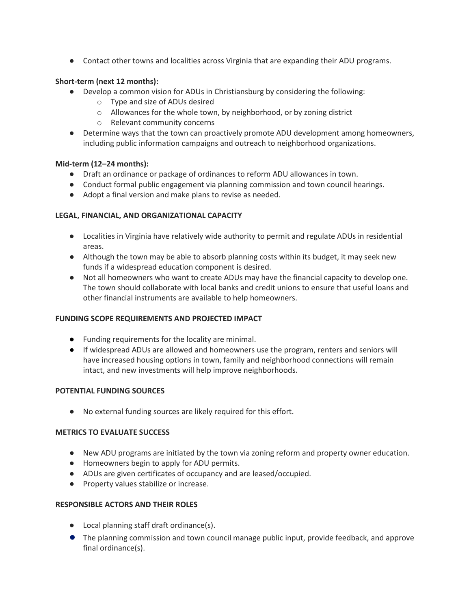● Contact other towns and localities across Virginia that are expanding their ADU programs.

## **Short-term (next 12 months):**

- Develop a common vision for ADUs in Christiansburg by considering the following:
	- o Type and size of ADUs desired
	- o Allowances for the whole town, by neighborhood, or by zoning district
	- o Relevant community concerns
- Determine ways that the town can proactively promote ADU development among homeowners, including public information campaigns and outreach to neighborhood organizations.

## **Mid-term (12–24 months):**

- Draft an ordinance or package of ordinances to reform ADU allowances in town.
- Conduct formal public engagement via planning commission and town council hearings.
- Adopt a final version and make plans to revise as needed.

## **LEGAL, FINANCIAL, AND ORGANIZATIONAL CAPACITY**

- Localities in Virginia have relatively wide authority to permit and regulate ADUs in residential areas.
- Although the town may be able to absorb planning costs within its budget, it may seek new funds if a widespread education component is desired.
- Not all homeowners who want to create ADUs may have the financial capacity to develop one. The town should collaborate with local banks and credit unions to ensure that useful loans and other financial instruments are available to help homeowners.

### **FUNDING SCOPE REQUIREMENTS AND PROJECTED IMPACT**

- Funding requirements for the locality are minimal.
- If widespread ADUs are allowed and homeowners use the program, renters and seniors will have increased housing options in town, family and neighborhood connections will remain intact, and new investments will help improve neighborhoods.

### **POTENTIAL FUNDING SOURCES**

● No external funding sources are likely required for this effort.

### **METRICS TO EVALUATE SUCCESS**

- New ADU programs are initiated by the town via zoning reform and property owner education.
- Homeowners begin to apply for ADU permits.
- ADUs are given certificates of occupancy and are leased/occupied.
- Property values stabilize or increase.

### **RESPONSIBLE ACTORS AND THEIR ROLES**

- Local planning staff draft ordinance(s).
- The planning commission and town council manage public input, provide feedback, and approve final ordinance(s).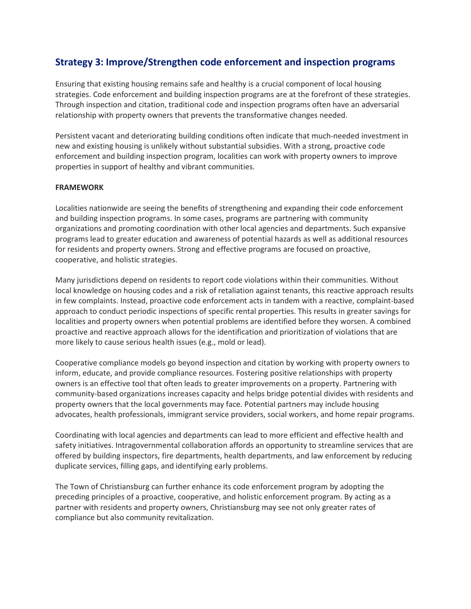# **Strategy 3: Improve/Strengthen code enforcement and inspection programs**

Ensuring that existing housing remains safe and healthy is a crucial component of local housing strategies. Code enforcement and building inspection programs are at the forefront of these strategies. Through inspection and citation, traditional code and inspection programs often have an adversarial relationship with property owners that prevents the transformative changes needed.

Persistent vacant and deteriorating building conditions often indicate that much-needed investment in new and existing housing is unlikely without substantial subsidies. With a strong, proactive code enforcement and building inspection program, localities can work with property owners to improve properties in support of healthy and vibrant communities.

### **FRAMEWORK**

Localities nationwide are seeing the benefits of strengthening and expanding their code enforcement and building inspection programs. In some cases, programs are partnering with community organizations and promoting coordination with other local agencies and departments. Such expansive programs lead to greater education and awareness of potential hazards as well as additional resources for residents and property owners. Strong and effective programs are focused on proactive, cooperative, and holistic strategies.

Many jurisdictions depend on residents to report code violations within their communities. Without local knowledge on housing codes and a risk of retaliation against tenants, this reactive approach results in few complaints. Instead, proactive code enforcement acts in tandem with a reactive, complaint-based approach to conduct periodic inspections of specific rental properties. This results in greater savings for localities and property owners when potential problems are identified before they worsen. A combined proactive and reactive approach allows for the identification and prioritization of violations that are more likely to cause serious health issues (e.g., mold or lead).

Cooperative compliance models go beyond inspection and citation by working with property owners to inform, educate, and provide compliance resources. Fostering positive relationships with property owners is an effective tool that often leads to greater improvements on a property. Partnering with community-based organizations increases capacity and helps bridge potential divides with residents and property owners that the local governments may face. Potential partners may include housing advocates, health professionals, immigrant service providers, social workers, and home repair programs.

Coordinating with local agencies and departments can lead to more efficient and effective health and safety initiatives. Intragovernmental collaboration affords an opportunity to streamline services that are offered by building inspectors, fire departments, health departments, and law enforcement by reducing duplicate services, filling gaps, and identifying early problems.

The Town of Christiansburg can further enhance its code enforcement program by adopting the preceding principles of a proactive, cooperative, and holistic enforcement program. By acting as a partner with residents and property owners, Christiansburg may see not only greater rates of compliance but also community revitalization.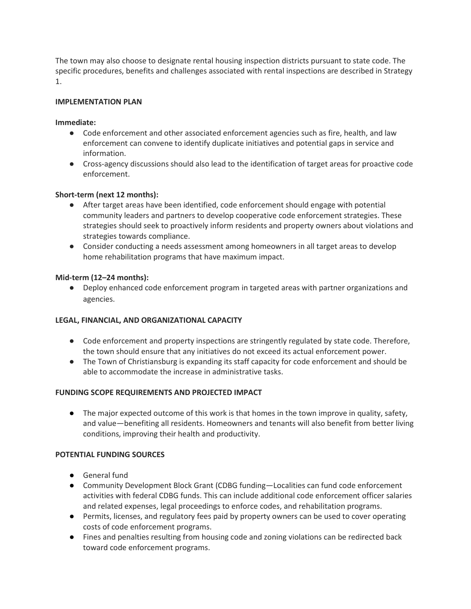The town may also choose to designate rental housing inspection districts pursuant to state code. The specific procedures, benefits and challenges associated with rental inspections are described in Strategy 1.

## **IMPLEMENTATION PLAN**

### **Immediate:**

- Code enforcement and other associated enforcement agencies such as fire, health, and law enforcement can convene to identify duplicate initiatives and potential gaps in service and information.
- Cross-agency discussions should also lead to the identification of target areas for proactive code enforcement.

## **Short-term (next 12 months):**

- After target areas have been identified, code enforcement should engage with potential community leaders and partners to develop cooperative code enforcement strategies. These strategies should seek to proactively inform residents and property owners about violations and strategies towards compliance.
- Consider conducting a needs assessment among homeowners in all target areas to develop home rehabilitation programs that have maximum impact.

## **Mid-term (12–24 months):**

● Deploy enhanced code enforcement program in targeted areas with partner organizations and agencies.

### **LEGAL, FINANCIAL, AND ORGANIZATIONAL CAPACITY**

- Code enforcement and property inspections are stringently regulated by state code. Therefore, the town should ensure that any initiatives do not exceed its actual enforcement power.
- The Town of Christiansburg is expanding its staff capacity for code enforcement and should be able to accommodate the increase in administrative tasks.

### **FUNDING SCOPE REQUIREMENTS AND PROJECTED IMPACT**

● The major expected outcome of this work is that homes in the town improve in quality, safety, and value—benefiting all residents. Homeowners and tenants will also benefit from better living conditions, improving their health and productivity.

### **POTENTIAL FUNDING SOURCES**

- General fund
- Community Development Block Grant (CDBG funding-Localities can fund code enforcement activities with federal CDBG funds. This can include additional code enforcement officer salaries and related expenses, legal proceedings to enforce codes, and rehabilitation programs.
- Permits, licenses, and regulatory fees paid by property owners can be used to cover operating costs of code enforcement programs.
- Fines and penalties resulting from housing code and zoning violations can be redirected back toward code enforcement programs.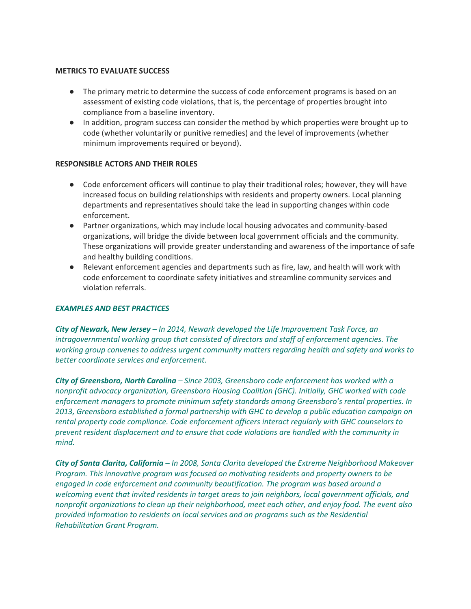#### **METRICS TO EVALUATE SUCCESS**

- The primary metric to determine the success of code enforcement programs is based on an assessment of existing code violations, that is, the percentage of properties brought into compliance from a baseline inventory.
- In addition, program success can consider the method by which properties were brought up to code (whether voluntarily or punitive remedies) and the level of improvements (whether minimum improvements required or beyond).

#### **RESPONSIBLE ACTORS AND THEIR ROLES**

- Code enforcement officers will continue to play their traditional roles; however, they will have increased focus on building relationships with residents and property owners. Local planning departments and representatives should take the lead in supporting changes within code enforcement.
- Partner organizations, which may include local housing advocates and community-based organizations, will bridge the divide between local government officials and the community. These organizations will provide greater understanding and awareness of the importance of safe and healthy building conditions.
- Relevant enforcement agencies and departments such as fire, law, and health will work with code enforcement to coordinate safety initiatives and streamline community services and violation referrals.

### *EXAMPLES AND BEST PRACTICES*

*City of Newark, New Jersey – In 2014, Newark developed the Life Improvement Task Force, an intragovernmental working group that consisted of directors and staff of enforcement agencies. The working group convenes to address urgent community matters regarding health and safety and works to better coordinate services and enforcement.*

*City of Greensboro, North Carolina – Since 2003, Greensboro code enforcement has worked with a nonprofit advocacy organization, Greensboro Housing Coalition (GHC). Initially, GHC worked with code enforcement managers to promote minimum safety standards among Greensboro's rental properties. In 2013, Greensboro established a formal partnership with GHC to develop a public education campaign on rental property code compliance. Code enforcement officers interact regularly with GHC counselors to prevent resident displacement and to ensure that code violations are handled with the community in mind.*

*City of Santa Clarita, California – In 2008, Santa Clarita developed the Extreme Neighborhood Makeover Program. This innovative program was focused on motivating residents and property owners to be engaged in code enforcement and community beautification. The program was based around a welcoming event that invited residents in target areas to join neighbors, local government officials, and nonprofit organizations to clean up their neighborhood, meet each other, and enjoy food. The event also provided information to residents on local services and on programs such as the Residential Rehabilitation Grant Program.*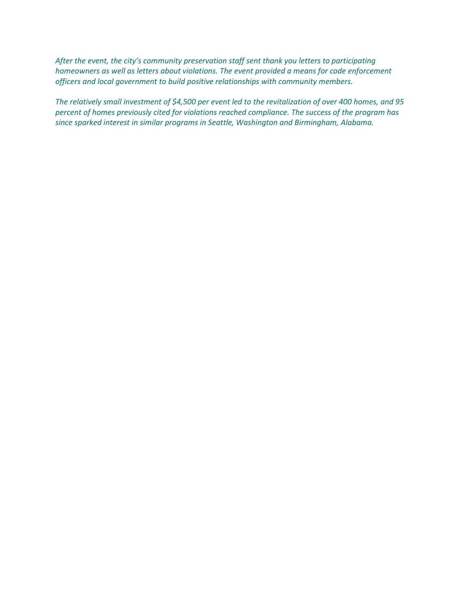*After the event, the city's community preservation staff sent thank you letters to participating homeowners as well as letters about violations. The event provided a means for code enforcement officers and local government to build positive relationships with community members.*

*The relatively small investment of \$4,500 per event led to the revitalization of over 400 homes, and 95 percent of homes previously cited for violations reached compliance. The success of the program has since sparked interest in similar programs in Seattle, Washington and Birmingham, Alabama.*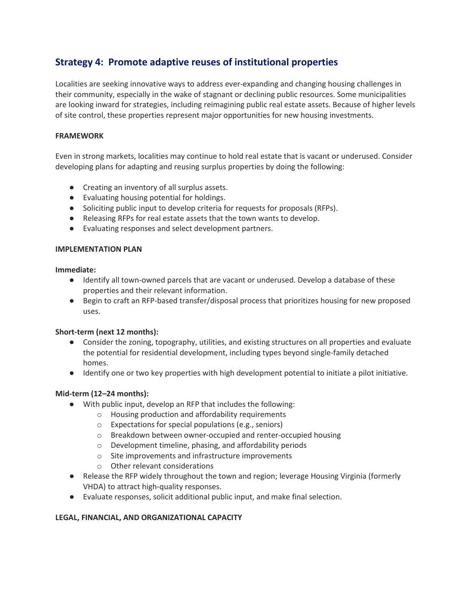# **Strategy 4: Promote adaptive reuses of institutional properties**

Localities are seeking innovative ways to address ever-expanding and changing housing challenges in their community, especially in the wake of stagnant or declining public resources. Some municipalities are looking inward for strategies, including reimagining public real estate assets. Because of higher levels of site control, these properties represent major opportunities for new housing investments.

## **FRAMEWORK**

Even in strong markets, localities may continue to hold real estate that is vacant or underused. Consider developing plans for adapting and reusing surplus properties by doing the following:

- Creating an inventory of all surplus assets.
- Evaluating housing potential for holdings.
- Soliciting public input to develop criteria for requests for proposals (RFPs).
- Releasing RFPs for real estate assets that the town wants to develop.
- Evaluating responses and select development partners.

### **IMPLEMENTATION PLAN**

**Immediate:**

- Identify all town-owned parcels that are vacant or underused. Develop a database of these properties and their relevant information.
- Begin to craft an RFP-based transfer/disposal process that prioritizes housing for new proposed uses.

### **Short-term (next 12 months):**

- Consider the zoning, topography, utilities, and existing structures on all properties and evaluate the potential for residential development, including types beyond single-family detached homes.
- Identify one or two key properties with high development potential to initiate a pilot initiative.

### **Mid-term (12–24 months):**

- With public input, develop an RFP that includes the following:
	- o Housing production and affordability requirements
	- o Expectations for special populations (e.g., seniors)
	- o Breakdown between owner-occupied and renter-occupied housing
	- o Development timeline, phasing, and affordability periods
	- o Site improvements and infrastructure improvements
	- o Other relevant considerations
- Release the RFP widely throughout the town and region; leverage Housing Virginia (formerly VHDA) to attract high-quality responses.
- Evaluate responses, solicit additional public input, and make final selection.

## **LEGAL, FINANCIAL, AND ORGANIZATIONAL CAPACITY**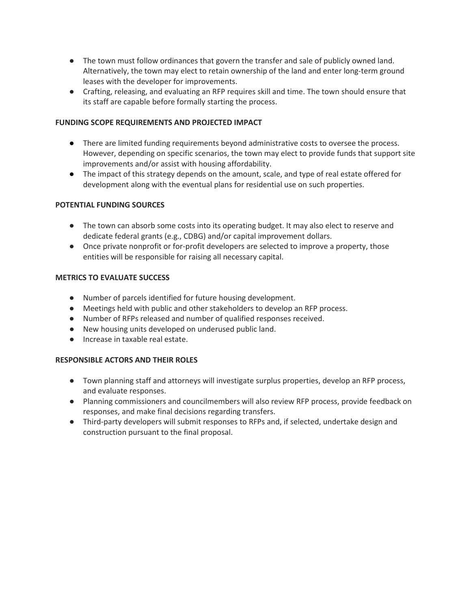- The town must follow ordinances that govern the transfer and sale of publicly owned land. Alternatively, the town may elect to retain ownership of the land and enter long-term ground leases with the developer for improvements.
- Crafting, releasing, and evaluating an RFP requires skill and time. The town should ensure that its staff are capable before formally starting the process.

## **FUNDING SCOPE REQUIREMENTS AND PROJECTED IMPACT**

- There are limited funding requirements beyond administrative costs to oversee the process. However, depending on specific scenarios, the town may elect to provide funds that support site improvements and/or assist with housing affordability.
- The impact of this strategy depends on the amount, scale, and type of real estate offered for development along with the eventual plans for residential use on such properties.

## **POTENTIAL FUNDING SOURCES**

- The town can absorb some costs into its operating budget. It may also elect to reserve and dedicate federal grants (e.g., CDBG) and/or capital improvement dollars.
- Once private nonprofit or for-profit developers are selected to improve a property, those entities will be responsible for raising all necessary capital.

### **METRICS TO EVALUATE SUCCESS**

- Number of parcels identified for future housing development.
- Meetings held with public and other stakeholders to develop an RFP process.
- Number of RFPs released and number of qualified responses received.
- New housing units developed on underused public land.
- Increase in taxable real estate.

### **RESPONSIBLE ACTORS AND THEIR ROLES**

- Town planning staff and attorneys will investigate surplus properties, develop an RFP process, and evaluate responses.
- Planning commissioners and councilmembers will also review RFP process, provide feedback on responses, and make final decisions regarding transfers.
- Third-party developers will submit responses to RFPs and, if selected, undertake design and construction pursuant to the final proposal.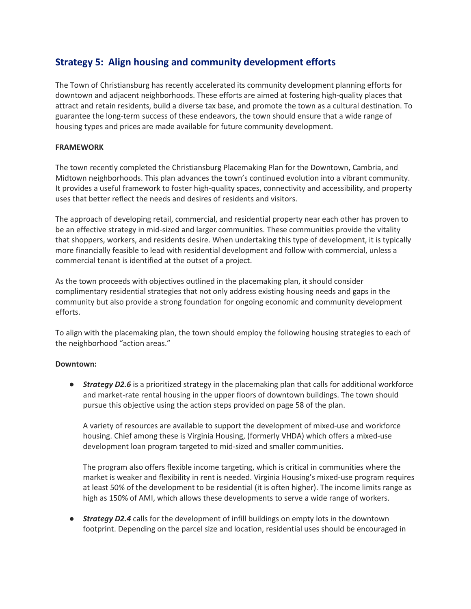# **Strategy 5: Align housing and community development efforts**

The Town of Christiansburg has recently accelerated its community development planning efforts for downtown and adjacent neighborhoods. These efforts are aimed at fostering high-quality places that attract and retain residents, build a diverse tax base, and promote the town as a cultural destination. To guarantee the long-term success of these endeavors, the town should ensure that a wide range of housing types and prices are made available for future community development.

### **FRAMEWORK**

The town recently completed the Christiansburg Placemaking Plan for the Downtown, Cambria, and Midtown neighborhoods. This plan advances the town's continued evolution into a vibrant community. It provides a useful framework to foster high-quality spaces, connectivity and accessibility, and property uses that better reflect the needs and desires of residents and visitors.

The approach of developing retail, commercial, and residential property near each other has proven to be an effective strategy in mid-sized and larger communities. These communities provide the vitality that shoppers, workers, and residents desire. When undertaking this type of development, it is typically more financially feasible to lead with residential development and follow with commercial, unless a commercial tenant is identified at the outset of a project.

As the town proceeds with objectives outlined in the placemaking plan, it should consider complimentary residential strategies that not only address existing housing needs and gaps in the community but also provide a strong foundation for ongoing economic and community development efforts.

To align with the placemaking plan, the town should employ the following housing strategies to each of the neighborhood "action areas."

### **Downtown:**

**• Strategy D2.6** is a prioritized strategy in the placemaking plan that calls for additional workforce and market-rate rental housing in the upper floors of downtown buildings. The town should pursue this objective using the action steps provided on page 58 of the plan.

A variety of resources are available to support the development of mixed-use and workforce housing. Chief among these is Virginia Housing, (formerly VHDA) which offers a mixed-use development loan program targeted to mid-sized and smaller communities.

The program also offers flexible income targeting, which is critical in communities where the market is weaker and flexibility in rent is needed. Virginia Housing's mixed-use program requires at least 50% of the development to be residential (it is often higher). The income limits range as high as 150% of AMI, which allows these developments to serve a wide range of workers.

● *Strategy D2.4* calls for the development of infill buildings on empty lots in the downtown footprint. Depending on the parcel size and location, residential uses should be encouraged in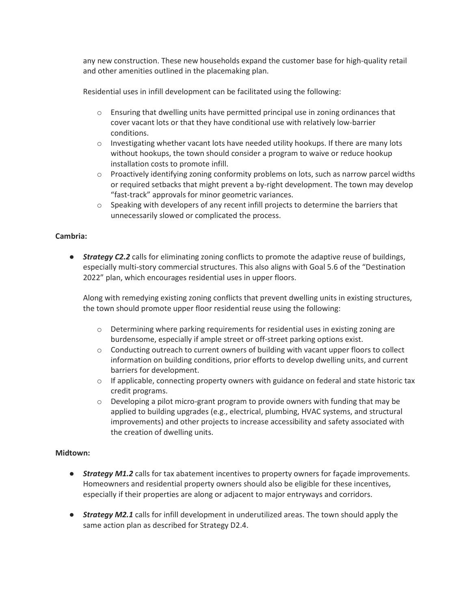any new construction. These new households expand the customer base for high-quality retail and other amenities outlined in the placemaking plan.

Residential uses in infill development can be facilitated using the following:

- $\circ$  Ensuring that dwelling units have permitted principal use in zoning ordinances that cover vacant lots or that they have conditional use with relatively low-barrier conditions.
- $\circ$  Investigating whether vacant lots have needed utility hookups. If there are many lots without hookups, the town should consider a program to waive or reduce hookup installation costs to promote infill.
- $\circ$  Proactively identifying zoning conformity problems on lots, such as narrow parcel widths or required setbacks that might prevent a by-right development. The town may develop "fast-track" approvals for minor geometric variances.
- o Speaking with developers of any recent infill projects to determine the barriers that unnecessarily slowed or complicated the process.

## **Cambria:**

**• Strategy C2.2** calls for eliminating zoning conflicts to promote the adaptive reuse of buildings, especially multi-story commercial structures. This also aligns with Goal 5.6 of the "Destination 2022" plan, which encourages residential uses in upper floors.

Along with remedying existing zoning conflicts that prevent dwelling units in existing structures, the town should promote upper floor residential reuse using the following:

- $\circ$  Determining where parking requirements for residential uses in existing zoning are burdensome, especially if ample street or off-street parking options exist.
- $\circ$  Conducting outreach to current owners of building with vacant upper floors to collect information on building conditions, prior efforts to develop dwelling units, and current barriers for development.
- $\circ$  If applicable, connecting property owners with guidance on federal and state historic tax credit programs.
- $\circ$  Developing a pilot micro-grant program to provide owners with funding that may be applied to building upgrades (e.g., electrical, plumbing, HVAC systems, and structural improvements) and other projects to increase accessibility and safety associated with the creation of dwelling units.

### **Midtown:**

- **•** *Strategy M1.2* calls for tax abatement incentives to property owners for façade improvements. Homeowners and residential property owners should also be eligible for these incentives, especially if their properties are along or adjacent to major entryways and corridors.
- *Strategy M2.1* calls for infill development in underutilized areas. The town should apply the same action plan as described for Strategy D2.4.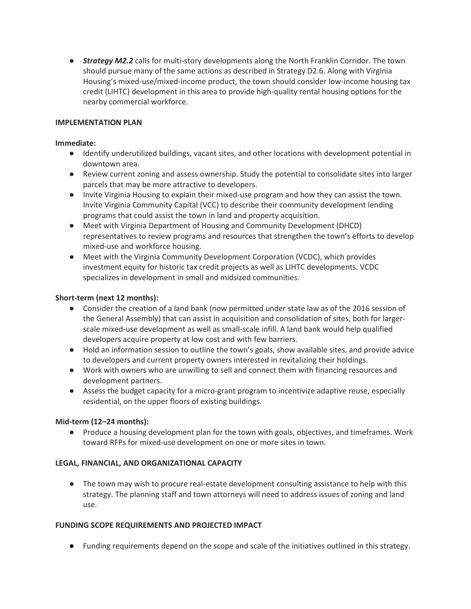**• Strategy M2.2** calls for multi-story developments along the North Franklin Corridor. The town should pursue many of the same actions as described in Strategy D2.6. Along with Virginia Housing's mixed-use/mixed-income product, the town should consider low-income housing tax credit (LIHTC) development in this area to provide high-quality rental housing options for the nearby commercial workforce.

### **IMPLEMENTATION PLAN**

### **Immediate:**

- Identify underutilized buildings, vacant sites, and other locations with development potential in downtown area.
- Review current zoning and assess ownership. Study the potential to consolidate sites into larger parcels that may be more attractive to developers.
- Invite Virginia Housing to explain their mixed-use program and how they can assist the town. Invite Virginia Community Capital (VCC) to describe their community development lending programs that could assist the town in land and property acquisition.
- Meet with Virginia Department of Housing and Community Development (DHCD) representatives to review programs and resources that strengthen the town's efforts to develop mixed-use and workforce housing.
- Meet with the Virginia Community Development Corporation (VCDC), which provides investment equity for historic tax credit projects as well as LIHTC developments. VCDC specializes in development in small and midsized communities.

### **Short-term (next 12 months):**

- Consider the creation of a land bank (now permitted under state law as of the 2016 session of the General Assembly) that can assist in acquisition and consolidation of sites, both for largerscale mixed-use development as well as small-scale infill. A land bank would help qualified developers acquire property at low cost and with few barriers.
- Hold an information session to outline the town's goals, show available sites, and provide advice to developers and current property owners interested in revitalizing their holdings.
- Work with owners who are unwilling to sell and connect them with financing resources and development partners.
- Assess the budget capacity for a micro-grant program to incentivize adaptive reuse, especially residential, on the upper floors of existing buildings.

### **Mid-term (12–24 months):**

● Produce a housing development plan for the town with goals, objectives, and timeframes. Work toward RFPs for mixed-use development on one or more sites in town.

## **LEGAL, FINANCIAL, AND ORGANIZATIONAL CAPACITY**

● The town may wish to procure real-estate development consulting assistance to help with this strategy. The planning staff and town attorneys will need to address issues of zoning and land use.

### **FUNDING SCOPE REQUIREMENTS AND PROJECTED IMPACT**

● Funding requirements depend on the scope and scale of the initiatives outlined in this strategy.